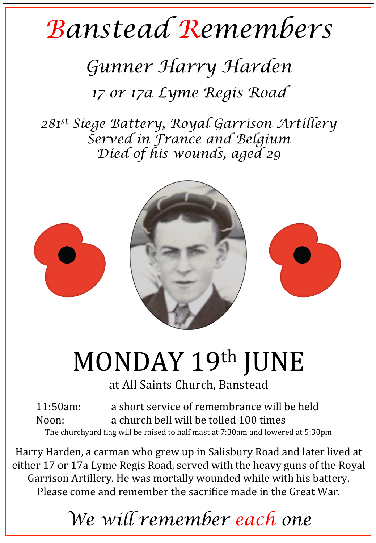## *Banstead Remembers*

## *Gunner Harry Harden*

*17 or 17a Lyme Regis Road* 

*281st Siege Battery, Royal Garrison Artillery Served in France and Belgium Died of his wounds, aged 29* 



## MONDAY 19th JUNE

at All Saints Church, Banstead

11:50am: a short service of remembrance will be held Noon: a church bell will be tolled 100 times The churchyard flag will be raised to half mast at  $7:30$ am and lowered at  $5:30$ pm

Harry Harden, a carman who grew up in Salisbury Road and later lived at either 17 or 17a Lyme Regis Road, served with the heavy guns of the Royal Garrison Artillery. He was mortally wounded while with his battery. Please come and remember the sacrifice made in the Great War.

*We will remember each one*